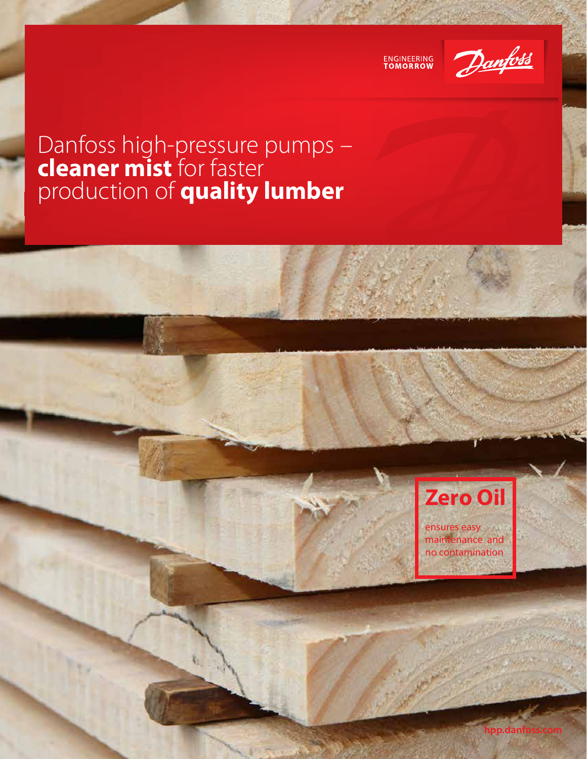ENGINEERING<br>TOMORROW



## Danfoss high-pressure pumps – **cleaner mist** for faster production of **quality lumber**

# **Zero Oil**

ensures easy maintenance and no contamination

**hpp.danf**